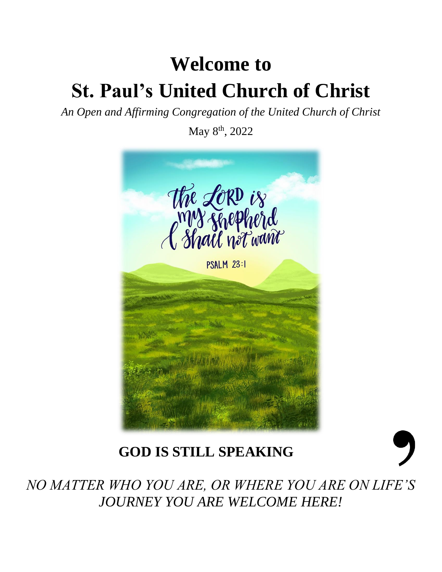# **Welcome to St. Paul's United Church of Christ**

*An Open and Affirming Congregation of the United Church of Christ*

May 8th, 2022



## **GOD IS STILL SPEAKING**



*NO MATTER WHO YOU ARE, OR WHERE YOU ARE ON LIFE'S JOURNEY YOU ARE WELCOME HERE!*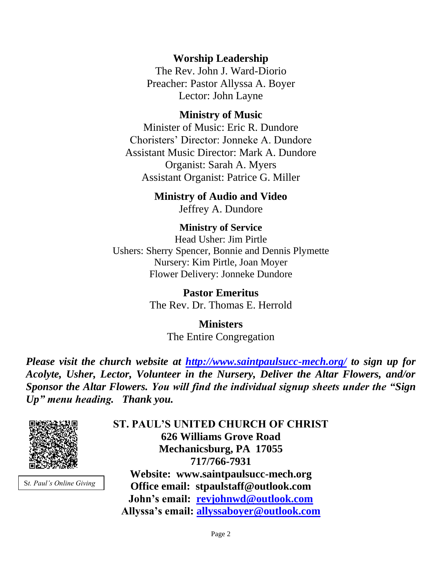**Worship Leadership**

The Rev. John J. Ward-Diorio Preacher: Pastor Allyssa A. Boyer Lector: John Layne

#### **Ministry of Music**

Minister of Music: Eric R. Dundore Choristers' Director: Jonneke A. Dundore Assistant Music Director: Mark A. Dundore Organist: Sarah A. Myers Assistant Organist: Patrice G. Miller

> **Ministry of Audio and Video**  Jeffrey A. Dundore

**Ministry of Service** Head Usher: Jim Pirtle Ushers: Sherry Spencer, Bonnie and Dennis Plymette Nursery: Kim Pirtle, Joan Moyer Flower Delivery: Jonneke Dundore

> **Pastor Emeritus** The Rev. Dr. Thomas E. Herrold

> > **Ministers** The Entire Congregation

*Please visit the church website at <http://www.saintpaulsucc-mech.org/> to sign up for Acolyte, Usher, Lector, Volunteer in the Nursery, Deliver the Altar Flowers, and/or Sponsor the Altar Flowers. You will find the individual signup sheets under the "Sign Up" menu heading. Thank you.*



S*t. Paul's Online Giving*

**ST. PAUL'S UNITED CHURCH OF CHRIST 626 Williams Grove Road Mechanicsburg, PA 17055 717/766-7931 Website: www.saintpaulsucc-mech.org Office email: stpaulstaff@outlook.com John's email: [revjohnwd@outlook.com](mailto:revjohnwd@outlook.com) Allyssa's email: [allyssaboyer@outlook.com](mailto:allyssaboyer@outlook.com)**

Page 2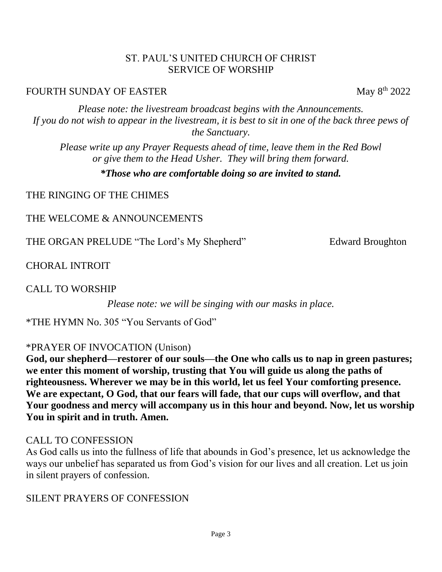#### ST. PAUL'S UNITED CHURCH OF CHRIST SERVICE OF WORSHIP

#### FOURTH SUNDAY OF EASTER May 8th 2022

*Please note: the livestream broadcast begins with the Announcements. If you do not wish to appear in the livestream, it is best to sit in one of the back three pews of the Sanctuary.*

*Please write up any Prayer Requests ahead of time, leave them in the Red Bowl or give them to the Head Usher. They will bring them forward.*

*\*Those who are comfortable doing so are invited to stand.*

THE RINGING OF THE CHIMES

THE WELCOME & ANNOUNCEMENTS

THE ORGAN PRELUDE "The Lord's My Shepherd" Edward Broughton

CHORAL INTROIT

CALL TO WORSHIP

*Please note: we will be singing with our masks in place.*

\*THE HYMN No. 305 "You Servants of God"

\*PRAYER OF INVOCATION (Unison)

**God, our shepherd—restorer of our souls—the One who calls us to nap in green pastures; we enter this moment of worship, trusting that You will guide us along the paths of righteousness. Wherever we may be in this world, let us feel Your comforting presence. We are expectant, O God, that our fears will fade, that our cups will overflow, and that Your goodness and mercy will accompany us in this hour and beyond. Now, let us worship You in spirit and in truth. Amen.**

#### CALL TO CONFESSION

As God calls us into the fullness of life that abounds in God's presence, let us acknowledge the ways our unbelief has separated us from God's vision for our lives and all creation. Let us join in silent prayers of confession.

SILENT PRAYERS OF CONFESSION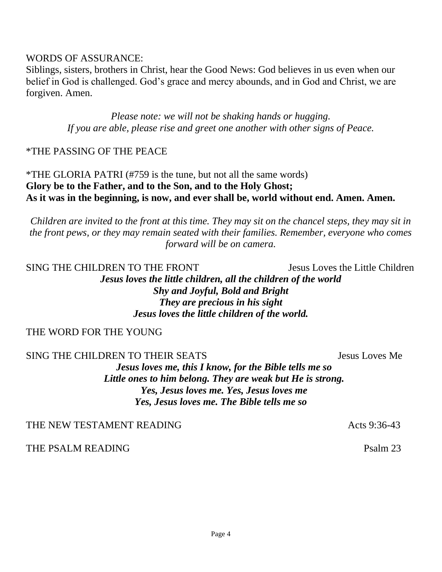#### WORDS OF ASSURANCE:

Siblings, sisters, brothers in Christ, hear the Good News: God believes in us even when our belief in God is challenged. God's grace and mercy abounds, and in God and Christ, we are forgiven. Amen.

> *Please note: we will not be shaking hands or hugging. If you are able, please rise and greet one another with other signs of Peace.*

#### \*THE PASSING OF THE PEACE

\*THE GLORIA PATRI (#759 is the tune, but not all the same words) **Glory be to the Father, and to the Son, and to the Holy Ghost; As it was in the beginning, is now, and ever shall be, world without end. Amen. Amen.**

*Children are invited to the front at this time. They may sit on the chancel steps, they may sit in the front pews, or they may remain seated with their families. Remember, everyone who comes forward will be on camera.* 

SING THE CHILDREN TO THE FRONT Jesus Loves the Little Children *Jesus loves the little children, all the children of the world Shy and Joyful, Bold and Bright They are precious in his sight Jesus loves the little children of the world.*

#### THE WORD FOR THE YOUNG

SING THE CHILDREN TO THEIR SEATS Jesus Loves Me

*Jesus loves me, this I know, for the Bible tells me so Little ones to him belong. They are weak but He is strong. Yes, Jesus loves me. Yes, Jesus loves me Yes, Jesus loves me. The Bible tells me so*

THE NEW TESTAMENT READING THE SAME ACTS 9:36-43

THE PSALM READING PSALM 23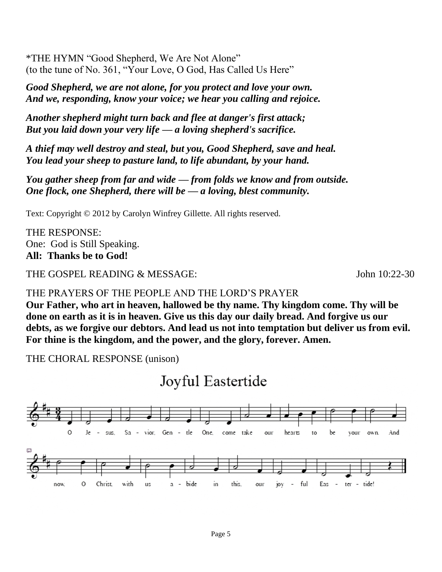\*THE HYMN "Good Shepherd, We Are Not Alone" (to the tune of No. 361, "Your Love, O God, Has Called Us Here"

*Good Shepherd, we are not alone, for you protect and love your own. And we, responding, know your voice; we hear you calling and rejoice.*

*Another shepherd might turn back and flee at danger's first attack; But you laid down your very life — a loving shepherd's sacrifice.*

*A thief may well destroy and steal, but you, Good Shepherd, save and heal. You lead your sheep to pasture land, to life abundant, by your hand.*

*You gather sheep from far and wide — from folds we know and from outside. One flock, one Shepherd, there will be — a loving, blest community.*

Text: Copyright © 2012 by Carolyn Winfrey Gillette. All rights reserved.

THE RESPONSE: One: God is Still Speaking. **All: Thanks be to God!** 

THE GOSPEL READING & MESSAGE: John 10:22-30

#### THE PRAYERS OF THE PEOPLE AND THE LORD'S PRAYER

**Our Father, who art in heaven, hallowed be thy name. Thy kingdom come. Thy will be done on earth as it is in heaven. Give us this day our daily bread. And forgive us our debts, as we forgive our debtors. And lead us not into temptation but deliver us from evil. For thine is the kingdom, and the power, and the glory, forever. Amen.**

THE CHORAL RESPONSE (unison)

### Joyful Eastertide

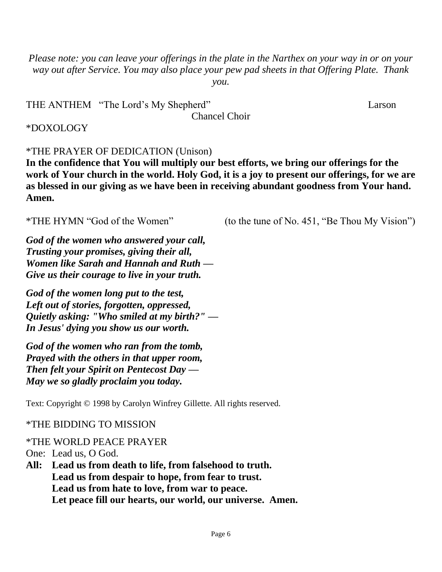*Please note: you can leave your offerings in the plate in the Narthex on your way in or on your way out after Service. You may also place your pew pad sheets in that Offering Plate. Thank you.* 

| THE ANTHEM "The Lord's My Shepherd" | Larson |
|-------------------------------------|--------|
| <b>Chancel Choir</b>                |        |

#### \*DOXOLOGY

#### \*THE PRAYER OF DEDICATION (Unison)

**In the confidence that You will multiply our best efforts, we bring our offerings for the work of Your church in the world. Holy God, it is a joy to present our offerings, for we are as blessed in our giving as we have been in receiving abundant goodness from Your hand. Amen.**

\*THE HYMN "God of the Women" (to the tune of No. 451, "Be Thou My Vision")

*God of the women who answered your call, Trusting your promises, giving their all, Women like Sarah and Hannah and Ruth — Give us their courage to live in your truth.*

*God of the women long put to the test, Left out of stories, forgotten, oppressed, Quietly asking: "Who smiled at my birth?" — In Jesus' dying you show us our worth.*

*God of the women who ran from the tomb, Prayed with the others in that upper room, Then felt your Spirit on Pentecost Day — May we so gladly proclaim you today.*

Text: Copyright © 1998 by Carolyn Winfrey Gillette. All rights reserved.

#### \*THE BIDDING TO MISSION

#### \*THE WORLD PEACE PRAYER

One: Lead us, O God.

**All: Lead us from death to life, from falsehood to truth. Lead us from despair to hope, from fear to trust. Lead us from hate to love, from war to peace. Let peace fill our hearts, our world, our universe. Amen.**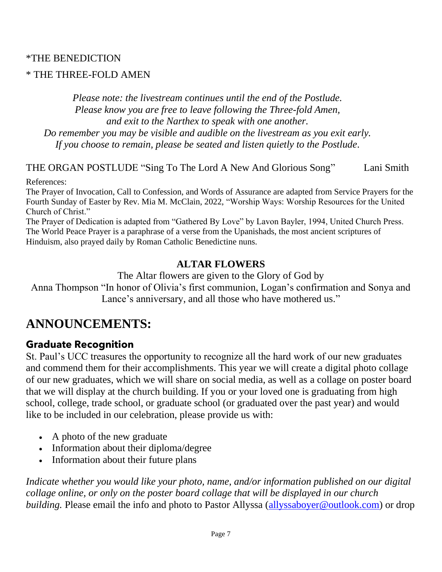#### \*THE BENEDICTION

#### \* THE THREE-FOLD AMEN

*Please note: the livestream continues until the end of the Postlude. Please know you are free to leave following the Three-fold Amen, and exit to the Narthex to speak with one another. Do remember you may be visible and audible on the livestream as you exit early. If you choose to remain, please be seated and listen quietly to the Postlude.*

THE ORGAN POSTLUDE "Sing To The Lord A New And Glorious Song" Lani Smith

References:

The Prayer of Invocation, Call to Confession, and Words of Assurance are adapted from Service Prayers for the Fourth Sunday of Easter by Rev. Mia M. McClain, 2022, "Worship Ways: Worship Resources for the United Church of Christ."

The Prayer of Dedication is adapted from "Gathered By Love" by Lavon Bayler, 1994, United Church Press. The World Peace Prayer is a paraphrase of a verse from the Upanishads, the most ancient scriptures of Hinduism, also prayed daily by Roman Catholic Benedictine nuns.

#### **ALTAR FLOWERS**

The Altar flowers are given to the Glory of God by

Anna Thompson "In honor of Olivia's first communion, Logan's confirmation and Sonya and Lance's anniversary, and all those who have mothered us."

### **ANNOUNCEMENTS:**

#### **Graduate Recognition**

St. Paul's UCC treasures the opportunity to recognize all the hard work of our new graduates and commend them for their accomplishments. This year we will create a digital photo collage of our new graduates, which we will share on social media, as well as a collage on poster board that we will display at the church building. If you or your loved one is graduating from high school, college, trade school, or graduate school (or graduated over the past year) and would like to be included in our celebration, please provide us with:

- A photo of the new graduate
- Information about their diploma/degree
- Information about their future plans

*Indicate whether you would like your photo, name, and/or information published on our digital collage online, or only on the poster board collage that will be displayed in our church building*. Please email the info and photo to Pastor Allyssa [\(allyssaboyer@outlook.com\)](mailto:allyssaboyer@outlook.com) or drop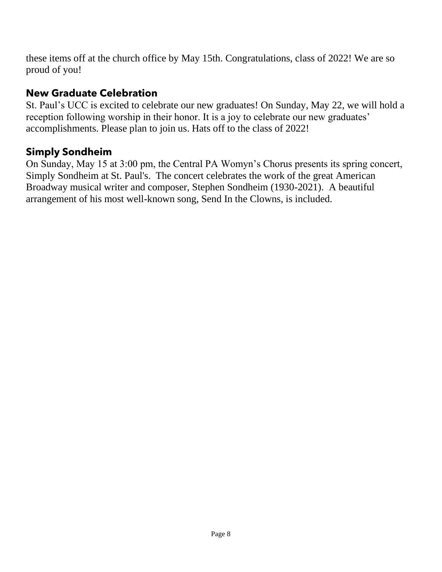these items off at the church office by May 15th. Congratulations, class of 2022! We are so proud of you!

#### New Graduate Celebration

St. Paul's UCC is excited to celebrate our new graduates! On Sunday, May 22, we will hold a reception following worship in their honor. It is a joy to celebrate our new graduates' accomplishments. Please plan to join us. Hats off to the class of 2022!

#### **Simply Sondheim**

On Sunday, May 15 at 3:00 pm, the Central PA Womyn's Chorus presents its spring concert, Simply Sondheim at St. Paul's. The concert celebrates the work of the great American Broadway musical writer and composer, Stephen Sondheim (1930-2021). A beautiful arrangement of his most well-known song, Send In the Clowns, is included.